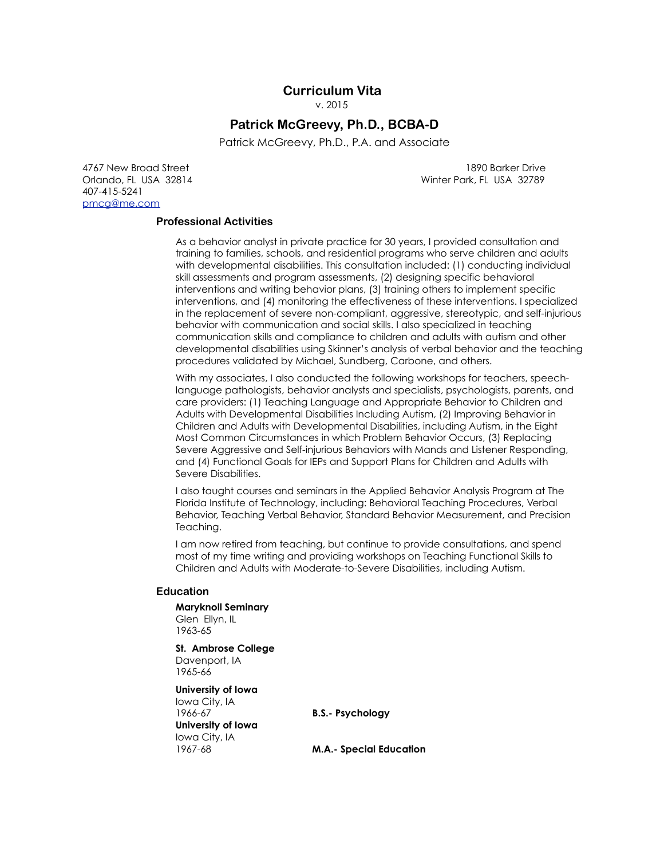# **Curriculum Vita**

v. 2015

# **Patrick McGreevy, Ph.D., BCBA-D**

Patrick McGreevy, Ph.D., P.A. and Associate

Act of the May 1890 Barker Drive 1890 Barker Drive 1890 Barker Drive 407-415-5241 [pmcg@me.com](mailto:pmcg@me.com)

Orlando, FL USA 32814 Winter Park, FL USA 32789

## **Professional Activities**

As a behavior analyst in private practice for 30 years, I provided consultation and training to families, schools, and residential programs who serve children and adults with developmental disabilities. This consultation included: (1) conducting individual skill assessments and program assessments, (2) designing specific behavioral interventions and writing behavior plans, (3) training others to implement specific interventions, and (4) monitoring the effectiveness of these interventions. I specialized in the replacement of severe non-compliant, aggressive, stereotypic, and self-injurious behavior with communication and social skills. I also specialized in teaching communication skills and compliance to children and adults with autism and other developmental disabilities using Skinner's analysis of verbal behavior and the teaching procedures validated by Michael, Sundberg, Carbone, and others.

With my associates, I also conducted the following workshops for teachers, speechlanguage pathologists, behavior analysts and specialists, psychologists, parents, and care providers: (1) Teaching Language and Appropriate Behavior to Children and Adults with Developmental Disabilities Including Autism, (2) Improving Behavior in Children and Adults with Developmental Disabilities, including Autism, in the Eight Most Common Circumstances in which Problem Behavior Occurs, (3) Replacing Severe Aggressive and Self-injurious Behaviors with Mands and Listener Responding, and (4) Functional Goals for IEPs and Support Plans for Children and Adults with Severe Disabilities.

I also taught courses and seminars in the Applied Behavior Analysis Program at The Florida Institute of Technology, including: Behavioral Teaching Procedures, Verbal Behavior, Teaching Verbal Behavior, Standard Behavior Measurement, and Precision Teaching.

I am now retired from teaching, but continue to provide consultations, and spend most of my time writing and providing workshops on Teaching Functional Skills to Children and Adults with Moderate-to-Severe Disabilities, including Autism.

#### **Education**

**Maryknoll Seminary**  Glen Ellyn, IL 1963-65

**St. Ambrose College** Davenport, IA 1965-66

**University of Iowa**  Iowa City, IA 1966-67 **B.S.- Psychology University of Iowa**  Iowa City, IA

1967-68 **M.A.- Special Education**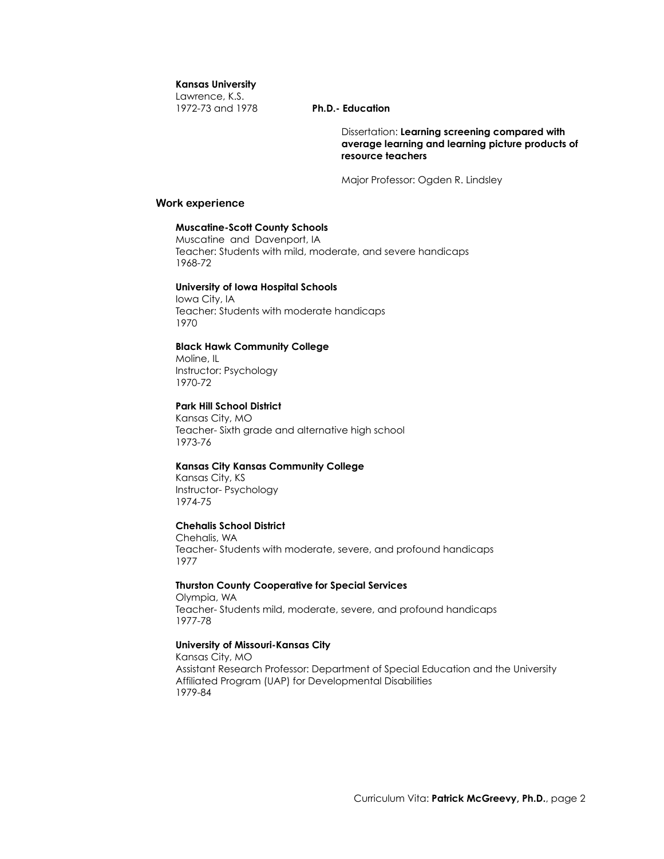## **Kansas University**

Lawrence, K.S. 1972-73 and 1978 **Ph.D.- Education**

Dissertation: **Learning screening compared with average learning and learning picture products of resource teachers** 

Major Professor: Ogden R. Lindsley

## **Work experience**

## **Muscatine-Scott County Schools**

Muscatine and Davenport, IA Teacher: Students with mild, moderate, and severe handicaps 1968-72

## **University of Iowa Hospital Schools**

Iowa City, IA Teacher: Students with moderate handicaps 1970

## **Black Hawk Community College**

Moline, IL Instructor: Psychology 1970-72

## **Park Hill School District**

Kansas City, MO Teacher- Sixth grade and alternative high school 1973-76

## **Kansas City Kansas Community College**

Kansas City, KS Instructor- Psychology 1974-75

## **Chehalis School District**

Chehalis, WA Teacher- Students with moderate, severe, and profound handicaps 1977

#### **Thurston County Cooperative for Special Services**

Olympia, WA Teacher- Students mild, moderate, severe, and profound handicaps 1977-78

## **University of Missouri-Kansas City**

Kansas City, MO Assistant Research Professor: Department of Special Education and the University Affiliated Program (UAP) for Developmental Disabilities 1979-84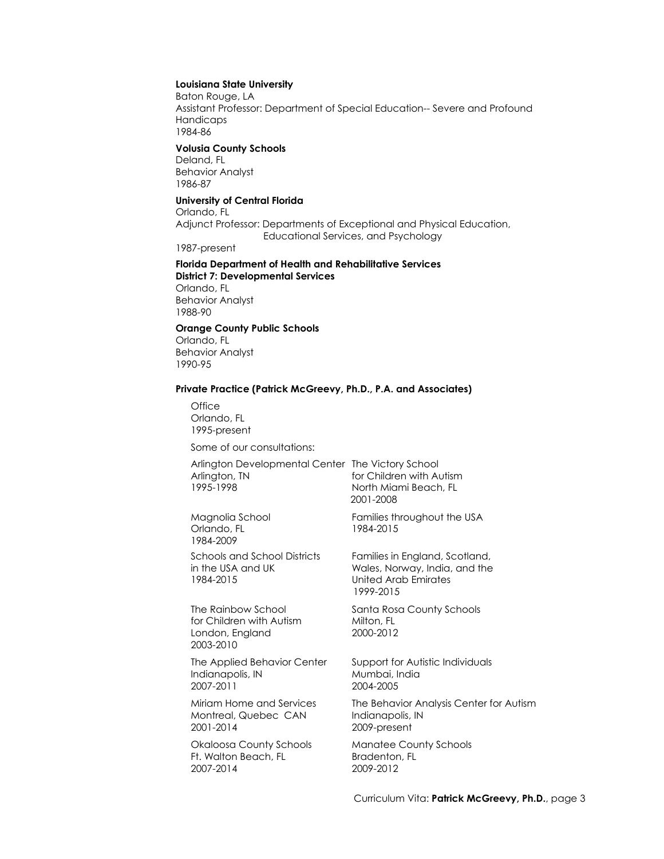#### **Louisiana State University**

Baton Rouge, LA Assistant Professor: Department of Special Education-- Severe and Profound Handicaps 1984-86

## **Volusia County Schools**

Deland, FL Behavior Analyst 1986-87

## **University of Central Florida**

Orlando, FL Adjunct Professor: Departments of Exceptional and Physical Education, Educational Services, and Psychology

1987-present

## **Florida Department of Health and Rehabilitative Services District 7: Developmental Services**

Orlando, FL Behavior Analyst 1988-90

## **Orange County Public Schools**

Orlando, FL Behavior Analyst 1990-95

#### **Private Practice (Patrick McGreevy, Ph.D., P.A. and Associates)**

**Office** Orlando, FL 1995-present

Some of our consultations:

| Arlington Developmental Center The |       |
|------------------------------------|-------|
| Arlington, TN                      | for ( |
| 1995-1998                          | Nor   |

Orlando, FL 1984-2015 1984-2009

for Children with Autism Milton, FL London, England 2000-2012 2003-2010

Indianapolis, IN Mumbai, India<br>1907-2011 - 2004-2005

Montreal, Quebec CAN Indianapolis, IN 2001-2014 2009-present

Ft. Walton Beach, FL Bradenton, FL 2007-2014 2009-2012

Victory School Children with Autism th Miami Beach, FL 2001-2008

Magnolia School Families throughout the USA

Schools and School Districts Families in England, Scotland, in the USA and UK Wales, Norway, India, and the USA and UK United Arab Emirates United Arab Emirates 1999-2015

The Rainbow School Santa Rosa County Schools

The Applied Behavior Center Support for Autistic Individuals 2007-2011 2004-2005

Miriam Home and Services The Behavior Analysis Center for Autism

Okaloosa County Schools Manatee County Schools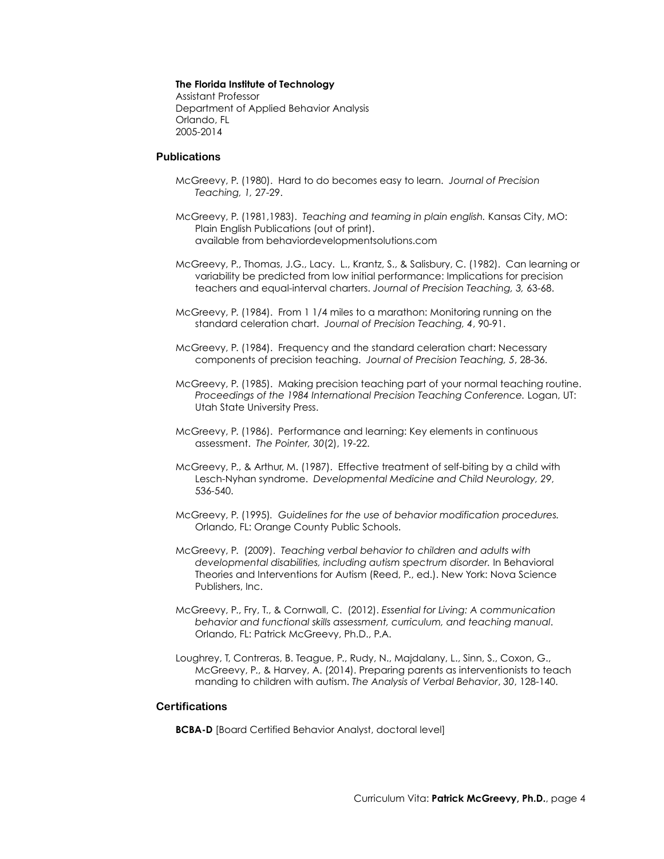# **The Florida Institute of Technology**

Assistant Professor Department of Applied Behavior Analysis Orlando, FL 2005-2014

## **Publications**

- McGreevy, P. (1980). Hard to do becomes easy to learn. *Journal of Precision Teaching, 1,* 27-29.
- McGreevy, P. (1981,1983). *Teaching and teaming in plain english.* Kansas City, MO: Plain English Publications (out of print). available from behaviordevelopmentsolutions.com
- McGreevy, P., Thomas, J.G., Lacy. L., Krantz, S., & Salisbury, C. (1982). Can learning or variability be predicted from low initial performance: Implications for precision teachers and equal-interval charters. *Journal of Precision Teaching, 3,* 63-68.
- McGreevy, P. (1984). From 1 1/4 miles to a marathon: Monitoring running on the standard celeration chart. *Journal of Precision Teaching, 4*, 90-91.
- McGreevy, P. (1984). Frequency and the standard celeration chart: Necessary components of precision teaching. *Journal of Precision Teaching, 5*, 28-36.
- McGreevy, P. (1985). Making precision teaching part of your normal teaching routine. *Proceedings of the 1984 International Precision Teaching Conference.* Logan, UT: Utah State University Press.
- McGreevy, P. (1986). Performance and learning: Key elements in continuous assessment. *The Pointer, 30*(2), 19-22.
- McGreevy, P., & Arthur, M. (1987). Effective treatment of self-biting by a child with Lesch-Nyhan syndrome. *Developmental Medicine and Child Neurology, 29*, 536-540.
- McGreevy, P. (1995)*. Guidelines for the use of behavior modification procedures.* Orlando, FL: Orange County Public Schools.
- McGreevy, P. (2009). *Teaching verbal behavior to children and adults with developmental disabilities, including autism spectrum disorder.* In Behavioral Theories and Interventions for Autism (Reed, P., ed.). New York: Nova Science Publishers, Inc.
- McGreevy, P., Fry, T., & Cornwall, C. (2012). *Essential for Living: A communication behavior and functional skills assessment, curriculum, and teaching manual*. Orlando, FL: Patrick McGreevy, Ph.D., P.A.
- Loughrey, T, Contreras, B. Teague, P., Rudy, N., Majdalany, L., Sinn, S., Coxon, G., McGreevy, P., & Harvey, A. (2014). Preparing parents as interventionists to teach manding to children with autism. *The Analysis of Verbal Behavior*, *30*, 128-140.

## **Certifications**

**BCBA-D** [Board Certified Behavior Analyst, doctoral level]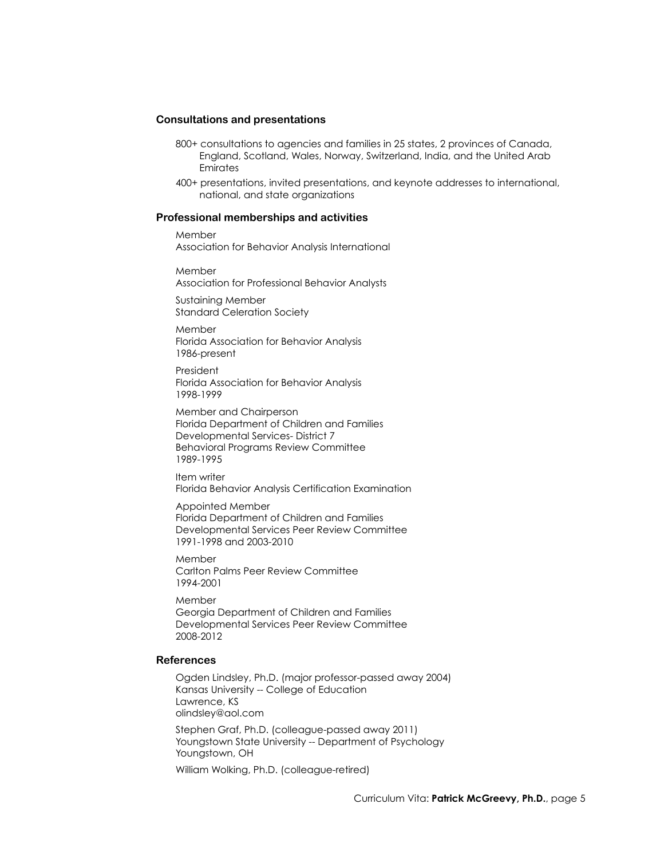## **Consultations and presentations**

- 800+ consultations to agencies and families in 25 states, 2 provinces of Canada, England, Scotland, Wales, Norway, Switzerland, India, and the United Arab Emirates
- 400+ presentations, invited presentations, and keynote addresses to international, national, and state organizations

## **Professional memberships and activities**

Member Association for Behavior Analysis International

Member Association for Professional Behavior Analysts

Sustaining Member Standard Celeration Society

Member Florida Association for Behavior Analysis 1986-present

President Florida Association for Behavior Analysis 1998-1999

Member and Chairperson Florida Department of Children and Families Developmental Services- District 7 Behavioral Programs Review Committee 1989-1995

Item writer Florida Behavior Analysis Certification Examination

Appointed Member Florida Department of Children and Families Developmental Services Peer Review Committee 1991-1998 and 2003-2010

Member Carlton Palms Peer Review Committee 1994-2001

Member Georgia Department of Children and Families Developmental Services Peer Review Committee 2008-2012

## **References**

Ogden Lindsley, Ph.D. (major professor-passed away 2004) Kansas University -- College of Education Lawrence, KS olindsley@aol.com

Stephen Graf, Ph.D. (colleague-passed away 2011) Youngstown State University -- Department of Psychology Youngstown, OH

William Wolking, Ph.D. (colleague-retired)